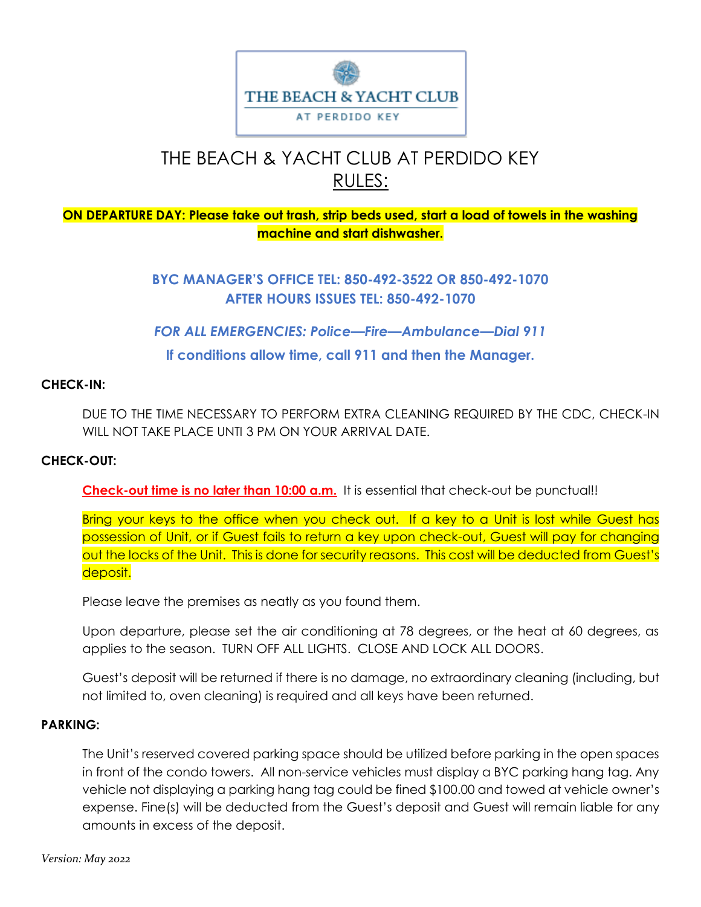

# THE BEACH & YACHT CLUB AT PERDIDO KEY RULES:

## **ON DEPARTURE DAY: Please take out trash, strip beds used, start a load of towels in the washing machine and start dishwasher.**

**BYC MANAGER'S OFFICE TEL: 850-492-3522 OR 850-492-1070 AFTER HOURS ISSUES TEL: 850-492-1070**

*FOR ALL EMERGENCIES: Police—Fire—Ambulance—Dial 911* **If conditions allow time, call 911 and then the Manager.**

## **CHECK-IN:**

DUE TO THE TIME NECESSARY TO PERFORM EXTRA CLEANING REQUIRED BY THE CDC, CHECK-IN WILL NOT TAKE PLACE UNTI 3 PM ON YOUR ARRIVAL DATE.

## **CHECK-OUT:**

**Check-out time is no later than 10:00 a.m.** It is essential that check-out be punctual!!

Bring your keys to the office when you check out. If a key to a Unit is lost while Guest has possession of Unit, or if Guest fails to return a key upon check-out, Guest will pay for changing out the locks of the Unit. This is done for security reasons. This cost will be deducted from Guest's deposit.

Please leave the premises as neatly as you found them.

Upon departure, please set the air conditioning at 78 degrees, or the heat at 60 degrees, as applies to the season. TURN OFF ALL LIGHTS. CLOSE AND LOCK ALL DOORS.

Guest's deposit will be returned if there is no damage, no extraordinary cleaning (including, but not limited to, oven cleaning) is required and all keys have been returned.

## **PARKING:**

The Unit's reserved covered parking space should be utilized before parking in the open spaces in front of the condo towers. All non-service vehicles must display a BYC parking hang tag. Any vehicle not displaying a parking hang tag could be fined \$100.00 and towed at vehicle owner's expense. Fine(s) will be deducted from the Guest's deposit and Guest will remain liable for any amounts in excess of the deposit.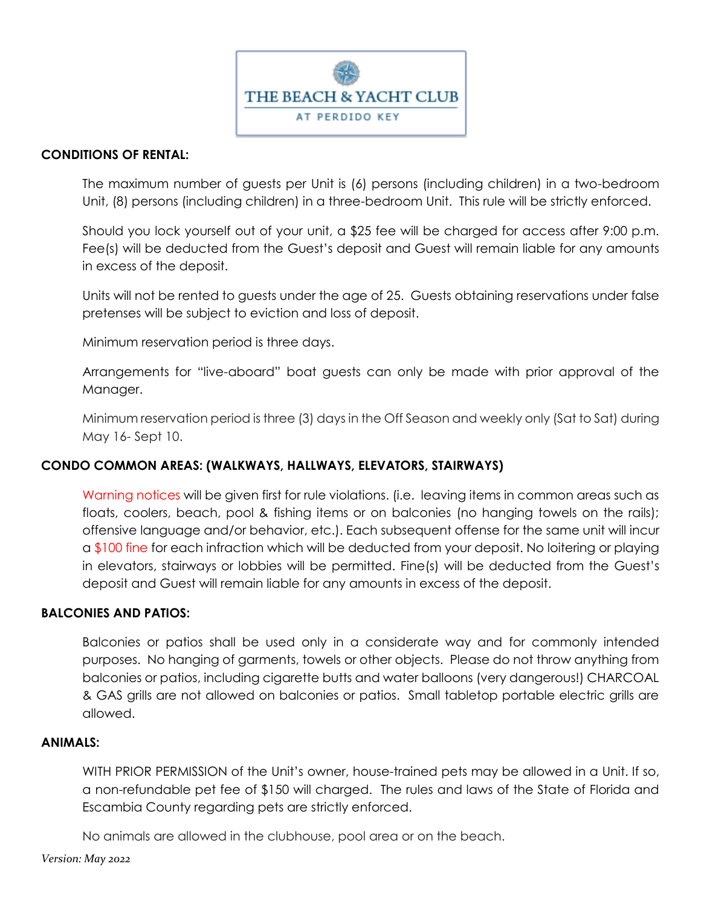

## **CONDITIONS OF RENTAL:**

The maximum number of guests per Unit is (6) persons (including children) in a two-bedroom Unit, (8) persons (including children) in a three-bedroom Unit. This rule will be strictly enforced.

Should you lock yourself out of your unit, a \$25 fee will be charged for access after 9:00 p.m. Fee(s) will be deducted from the Guest's deposit and Guest will remain liable for any amounts in excess of the deposit.

Units will not be rented to guests under the age of 25. Guests obtaining reservations under false pretenses will be subject to eviction and loss of deposit.

Minimum reservation period is three days.

Arrangements for "live-aboard" boat guests can only be made with prior approval of the Manager.

Minimum reservation period is three (3) days in the Off Season and weekly only (Sat to Sat) during May 16- Sept 10.

## **CONDO COMMON AREAS: (WALKWAYS, HALLWAYS, ELEVATORS, STAIRWAYS)**

Warning notices will be given first for rule violations. (i.e. leaving items in common areas such as floats, coolers, beach, pool & fishing items or on balconies (no hanging towels on the rails); offensive language and/or behavior, etc.). Each subsequent offense for the same unit will incur a \$100 fine for each infraction which will be deducted from your deposit. No loitering or playing in elevators, stairways or lobbies will be permitted. Fine(s) will be deducted from the Guest's deposit and Guest will remain liable for any amounts in excess of the deposit.

#### **BALCONIES AND PATIOS:**

Balconies or patios shall be used only in a considerate way and for commonly intended purposes. No hanging of garments, towels or other objects. Please do not throw anything from balconies or patios, including cigarette butts and water balloons (very dangerous!) CHARCOAL & GAS grills are not allowed on balconies or patios. Small tabletop portable electric grills are allowed.

#### **ANIMALS:**

WITH PRIOR PERMISSION of the Unit's owner, house-trained pets may be allowed in a Unit. If so, a non-refundable pet fee of \$150 will charged. The rules and laws of the State of Florida and Escambia County regarding pets are strictly enforced.

No animals are allowed in the clubhouse, pool area or on the beach.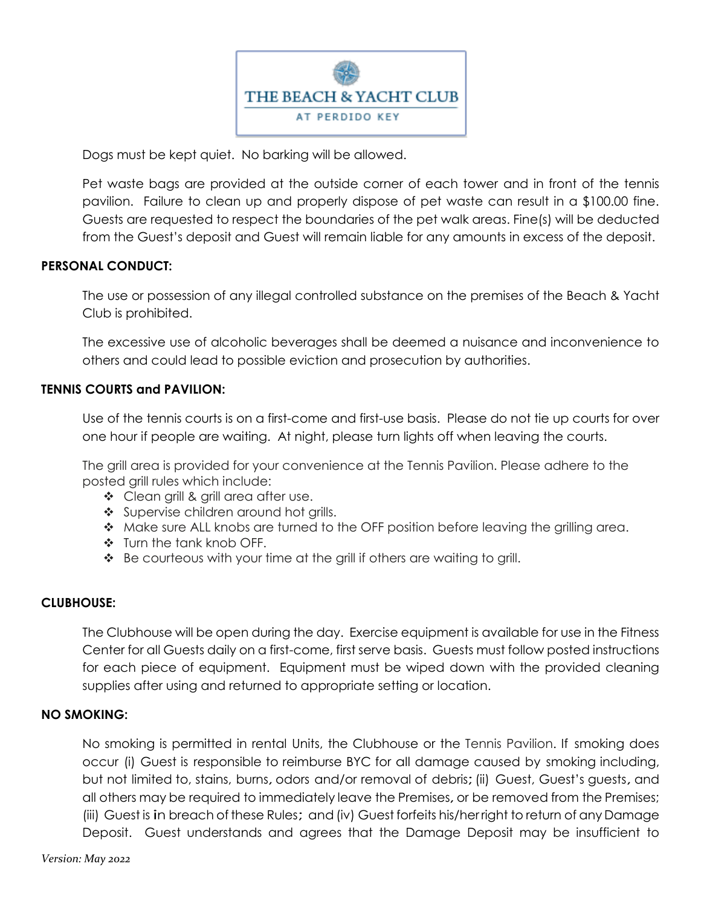

Dogs must be kept quiet. No barking will be allowed.

Pet waste bags are provided at the outside corner of each tower and in front of the tennis pavilion. Failure to clean up and properly dispose of pet waste can result in a \$100.00 fine. Guests are requested to respect the boundaries of the pet walk areas. Fine(s) will be deducted from the Guest's deposit and Guest will remain liable for any amounts in excess of the deposit.

## **PERSONAL CONDUCT:**

The use or possession of any illegal controlled substance on the premises of the Beach & Yacht Club is prohibited.

The excessive use of alcoholic beverages shall be deemed a nuisance and inconvenience to others and could lead to possible eviction and prosecution by authorities.

## **TENNIS COURTS and PAVILION:**

Use of the tennis courts is on a first-come and first-use basis. Please do not tie up courts for over one hour if people are waiting. At night, please turn lights off when leaving the courts.

The grill area is provided for your convenience at the Tennis Pavilion. Please adhere to the posted grill rules which include:

- ◆ Clean grill & grill area after use.
- Supervise children around hot grills.
- Make sure ALL knobs are turned to the OFF position before leaving the grilling area.
- Turn the tank knob OFF.
- Be courteous with your time at the grill if others are waiting to grill.

## **CLUBHOUSE:**

The Clubhouse will be open during the day. Exercise equipment is available for use in the Fitness Center for all Guests daily on a first-come, first serve basis. Guests must follow posted instructions for each piece of equipment. Equipment must be wiped down with the provided cleaning supplies after using and returned to appropriate setting or location.

## **NO SMOKING:**

No smoking is permitted in rental Units, the Clubhouse or the Tennis Pavilion. If smoking does occur (i) Guest is responsible to reimburse BYC for all damage caused by smoking including, but not limited to, stains, burns, odors and/or removal of debris;(ii) Guest, Guest's guests, and all others may be required to immediately leave the Premises, or be removed from the Premises; (iii) Guest is in breach of these Rules; and(iv) Guest forfeits his/her right to return of any Damage Deposit. Guest understands and agrees that the Damage Deposit may be insufficient to